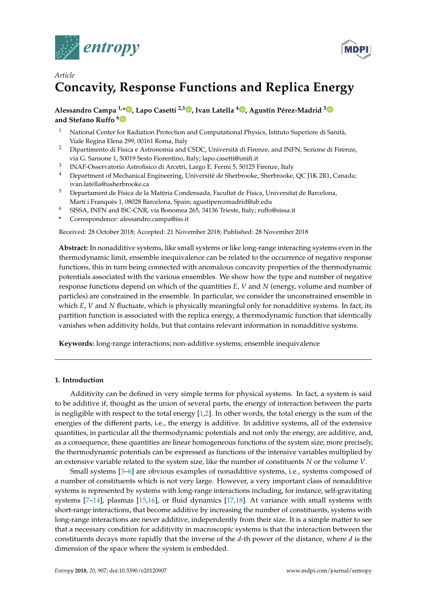

*Article*



# **Concavity, Response Functions and Replica Energy**

**Alessandro Campa 1,[\\*](https://orcid.org/0000-0002-7182-7094) , Lapo Casetti 2,3 [,](https://orcid.org/0000-0002-6964-5611) Ivan Latella <sup>4</sup> [,](https://orcid.org/0000-0003-0868-2432) Agustín Pérez-Madrid [5](https://orcid.org/0000-0001-6932-9371) and Stefano Ruffo [6](https://orcid.org/0000-0003-2911-8718)**

- <sup>1</sup> National Center for Radiation Protection and Computational Physics, Istituto Superiore di Sanità, Viale Regina Elena 299, 00161 Roma, Italy
- <sup>2</sup> Dipartimento di Fisica e Astronomia and CSDC, Università di Firenze, and INFN, Sezione di Firenze, via G. Sansone 1, 50019 Sesto Fiorentino, Italy; lapo.casetti@unifi.it
- 3 INAF-Osservatorio Astrofisico di Arcetri, Largo E. Fermi 5, 50125 Firenze, Italy
- <sup>4</sup> Department of Mechanical Engineering, Université de Sherbrooke, Sherbrooke, QC J1K 2R1, Canada; ivan.latella@usherbrooke.ca
- <sup>5</sup> Departament de Física de la Matèria Condensada, Facultat de Física, Universitat de Barcelona, Martí i Franquès 1, 08028 Barcelona, Spain; agustiperezmadrid@ub.edu
- <sup>6</sup> SISSA, INFN and ISC-CNR, via Bonomea 265, 34136 Trieste, Italy; ruffo@sissa.it
- **\*** Correspondence: alessandro.campa@iss.it

Received: 28 October 2018; Accepted: 21 November 2018; Published: 28 November 2018

**Abstract:** In nonadditive systems, like small systems or like long-range interacting systems even in the thermodynamic limit, ensemble inequivalence can be related to the occurrence of negative response functions, this in turn being connected with anomalous concavity properties of the thermodynamic potentials associated with the various ensembles. We show how the type and number of negative response functions depend on which of the quantities *E*, *V* and *N* (energy, volume and number of particles) are constrained in the ensemble. In particular, we consider the unconstrained ensemble in which *E*, *V* and *N* fluctuate, which is physically meaningful only for nonadditive systems. In fact, its partition function is associated with the replica energy, a thermodynamic function that identically vanishes when additivity holds, but that contains relevant information in nonadditive systems.

**Keywords:** long-range interactions; non-additive systems; ensemble inequivalence

# **1. Introduction**

Additivity can be defined in very simple terms for physical systems. In fact, a system is said to be additive if, thought as the union of several parts, the energy of interaction between the parts is negligible with respect to the total energy [\[1,](#page-17-0)[2\]](#page-17-1). In other words, the total energy is the sum of the energies of the different parts, i.e., the energy is additive. In additive systems, all of the extensive quantities, in particular all the thermodynamic potentials and not only the energy, are additive, and, as a consequence, these quantities are linear homogeneous functions of the system size; more precisely, the thermodynamic potentials can be expressed as functions of the intensive variables multiplied by an extensive variable related to the system size, like the number of constituents *N* or the volume *V*.

Small systems [\[3](#page-17-2)[–6\]](#page-17-3) are obvious examples of nonadditive systems, i.e., systems composed of a number of constituents which is not very large. However, a very important class of nonadditive systems is represented by systems with long-range interactions including, for instance, self-gravitating systems  $[7-14]$  $[7-14]$ , plasmas  $[15,16]$  $[15,16]$ , or fluid dynamics  $[17,18]$  $[17,18]$ . At variance with small systems with short-range interactions, that become additive by increasing the number of constituents, systems with long-range interactions are never additive, independently from their size. It is a simple matter to see that a necessary condition for additivity in macroscopic systems is that the interaction between the constituents decays more rapidly that the inverse of the *d*-th power of the distance, where *d* is the dimension of the space where the system is embedded.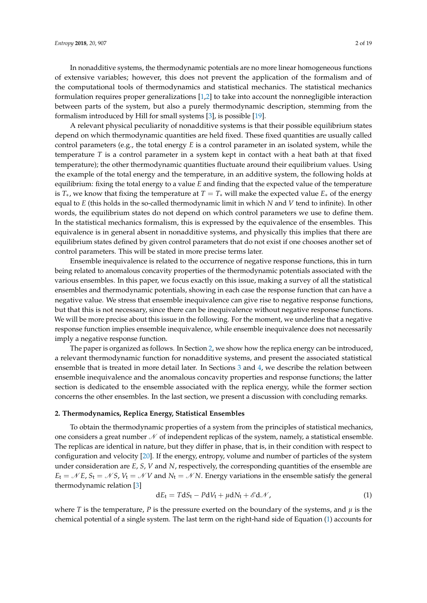the computational tools of thermodynamics and statistical mechanics. The statistical mechanics formulation requires proper generalizations [\[1,](#page-17-0)[2\]](#page-17-1) to take into account the nonnegligible interaction between parts of the system, but also a purely thermodynamic description, stemming from the formalism introduced by Hill for small systems [\[3\]](#page-17-2), is possible [\[19\]](#page-17-10).

A relevant physical peculiarity of nonadditive systems is that their possible equilibrium states depend on which thermodynamic quantities are held fixed. These fixed quantities are usually called control parameters (e.g., the total energy *E* is a control parameter in an isolated system, while the temperature *T* is a control parameter in a system kept in contact with a heat bath at that fixed temperature); the other thermodynamic quantities fluctuate around their equilibrium values. Using the example of the total energy and the temperature, in an additive system, the following holds at equilibrium: fixing the total energy to a value *E* and finding that the expected value of the temperature is *T*<sub>∗</sub>, we know that fixing the temperature at  $T = T_*$  will make the expected value  $E_*$  of the energy equal to *E* (this holds in the so-called thermodynamic limit in which *N* and *V* tend to infinite). In other words, the equilibrium states do not depend on which control parameters we use to define them. In the statistical mechanics formalism, this is expressed by the equivalence of the ensembles. This equivalence is in general absent in nonadditive systems, and physically this implies that there are equilibrium states defined by given control parameters that do not exist if one chooses another set of control parameters. This will be stated in more precise terms later.

Ensemble inequivalence is related to the occurrence of negative response functions, this in turn being related to anomalous concavity properties of the thermodynamic potentials associated with the various ensembles. In this paper, we focus exactly on this issue, making a survey of all the statistical ensembles and thermodynamic potentials, showing in each case the response function that can have a negative value. We stress that ensemble inequivalence can give rise to negative response functions, but that this is not necessary, since there can be inequivalence without negative response functions. We will be more precise about this issue in the following. For the moment, we underline that a negative response function implies ensemble inequivalence, while ensemble inequivalence does not necessarily imply a negative response function.

The paper is organized as follows. In Section [2,](#page-1-0) we show how the replica energy can be introduced, a relevant thermodynamic function for nonadditive systems, and present the associated statistical ensemble that is treated in more detail later. In Sections [3](#page-3-0) and [4,](#page-9-0) we describe the relation between ensemble inequivalence and the anomalous concavity properties and response functions; the latter section is dedicated to the ensemble associated with the replica energy, while the former section concerns the other ensembles. In the last section, we present a discussion with concluding remarks.

## <span id="page-1-0"></span>**2. Thermodynamics, Replica Energy, Statistical Ensembles**

To obtain the thermodynamic properties of a system from the principles of statistical mechanics, one considers a great number  $\mathcal N$  of independent replicas of the system, namely, a statistical ensemble. The replicas are identical in nature, but they differ in phase, that is, in their condition with respect to configuration and velocity [\[20\]](#page-17-11). If the energy, entropy, volume and number of particles of the system under consideration are *E*, *S*, *V* and *N*, respectively, the corresponding quantities of the ensemble are  $E_t = N E$ ,  $S_t = N S$ ,  $V_t = N V$  and  $N_t = N N$ . Energy variations in the ensemble satisfy the general thermodynamic relation [\[3\]](#page-17-2)

<span id="page-1-1"></span>
$$
dE_t = TdS_t - PdV_t + \mu dN_t + \mathscr{E}d\mathscr{N},\tag{1}
$$

where *T* is the temperature, *P* is the pressure exerted on the boundary of the systems, and  $\mu$  is the chemical potential of a single system. The last term on the right-hand side of Equation [\(1\)](#page-1-1) accounts for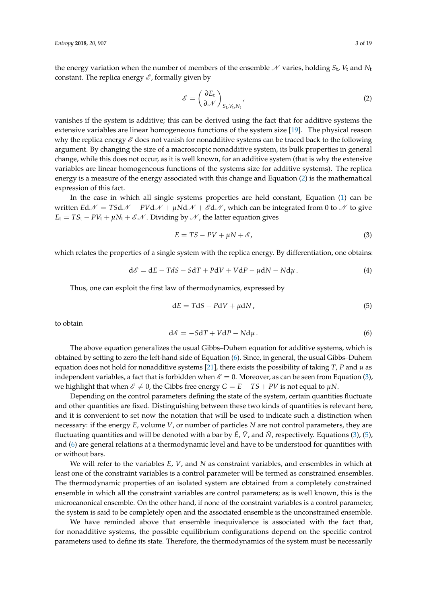the energy variation when the number of members of the ensemble  $\mathscr N$  varies, holding  $S_{\mathsf{t}}$ ,  $V_{\mathsf{t}}$  and  $N_{\mathsf{t}}$ constant. The replica energy  $\mathscr E$ , formally given by

<span id="page-2-0"></span>
$$
\mathscr{E} = \left(\frac{\partial E_t}{\partial \mathscr{N}}\right)_{S_t, V_t, N_t},\tag{2}
$$

vanishes if the system is additive; this can be derived using the fact that for additive systems the extensive variables are linear homogeneous functions of the system size [\[19\]](#page-17-10). The physical reason why the replica energy  $\mathscr E$  does not vanish for nonadditive systems can be traced back to the following argument. By changing the size of a macroscopic nonadditive system, its bulk properties in general change, while this does not occur, as it is well known, for an additive system (that is why the extensive variables are linear homogeneous functions of the systems size for additive systems). The replica energy is a measure of the energy associated with this change and Equation [\(2\)](#page-2-0) is the mathematical expression of this fact.

In the case in which all single systems properties are held constant, Equation [\(1\)](#page-1-1) can be written *Ed* $\mathcal{N} = TSd\mathcal{N} - PVd\mathcal{N} + \mu Nd\mathcal{N} + \mathcal{E}d\mathcal{N}$ , which can be integrated from 0 to  $\mathcal{N}$  to give  $E_t = TS_t - PV_t + \mu N_t + \mathcal{CN}$ . Dividing by  $\mathcal{N}$ , the latter equation gives

<span id="page-2-2"></span>
$$
E = TS - PV + \mu N + \mathscr{E},\tag{3}
$$

which relates the properties of a single system with the replica energy. By differentiation, one obtains:

$$
d\mathcal{E} = dE - TdS - SdT + PdV + VdP - \mu dN - Nd\mu.
$$
 (4)

Thus, one can exploit the first law of thermodynamics, expressed by

<span id="page-2-3"></span>
$$
dE = TdS - PdV + \mu dN, \qquad (5)
$$

to obtain

<span id="page-2-1"></span>
$$
d\mathscr{E} = -SdT + VdP - Nd\mu. \tag{6}
$$

The above equation generalizes the usual Gibbs–Duhem equation for additive systems, which is obtained by setting to zero the left-hand side of Equation [\(6\)](#page-2-1). Since, in general, the usual Gibbs–Duhem equation does not hold for nonadditive systems [\[21\]](#page-17-12), there exists the possibility of taking *T*, *P* and  $\mu$  as independent variables, a fact that is forbidden when  $\mathscr{E} = 0$ . Moreover, as can be seen from Equation [\(3\)](#page-2-2), we highlight that when  $\mathcal{E} \neq 0$ , the Gibbs free energy  $G = E - TS + PV$  is not equal to  $\mu N$ .

Depending on the control parameters defining the state of the system, certain quantities fluctuate and other quantities are fixed. Distinguishing between these two kinds of quantities is relevant here, and it is convenient to set now the notation that will be used to indicate such a distinction when necessary: if the energy *E*, volume *V*, or number of particles *N* are not control parameters, they are fluctuating quantities and will be denoted with a bar by  $\bar{E}$ ,  $\bar{V}$ , and  $\bar{N}$ , respectively. Equations [\(3\)](#page-2-2), [\(5\)](#page-2-3), and [\(6\)](#page-2-1) are general relations at a thermodynamic level and have to be understood for quantities with or without bars.

We will refer to the variables *E*, *V*, and *N* as constraint variables, and ensembles in which at least one of the constraint variables is a control parameter will be termed as constrained ensembles. The thermodynamic properties of an isolated system are obtained from a completely constrained ensemble in which all the constraint variables are control parameters; as is well known, this is the microcanonical ensemble. On the other hand, if none of the constraint variables is a control parameter, the system is said to be completely open and the associated ensemble is the unconstrained ensemble.

We have reminded above that ensemble inequivalence is associated with the fact that, for nonadditive systems, the possible equilibrium configurations depend on the specific control parameters used to define its state. Therefore, the thermodynamics of the system must be necessarily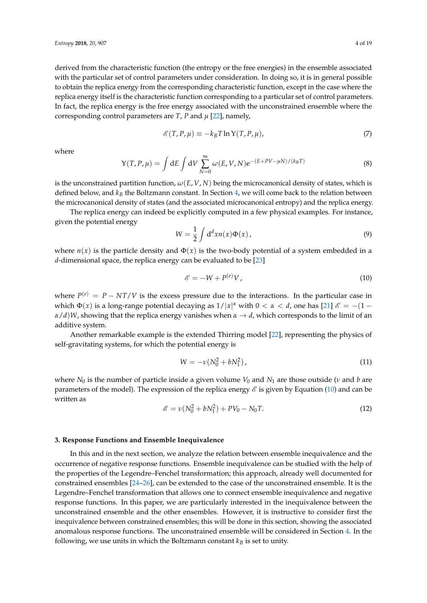derived from the characteristic function (the entropy or the free energies) in the ensemble associated with the particular set of control parameters under consideration. In doing so, it is in general possible to obtain the replica energy from the corresponding characteristic function, except in the case where the replica energy itself is the characteristic function corresponding to a particular set of control parameters. In fact, the replica energy is the free energy associated with the unconstrained ensemble where the corresponding control parameters are *T*, *P* and *µ* [\[22\]](#page-17-13), namely,

$$
\mathcal{E}(T, P, \mu) \equiv -k_B T \ln Y(T, P, \mu), \tag{7}
$$

where

<span id="page-3-2"></span>
$$
Y(T, P, \mu) = \int dE \int dV \sum_{N=0}^{\infty} \omega(E, V, N) e^{-(E + PV - \mu N)/(k_B T)}
$$
(8)

is the unconstrained partition function,  $\omega(E, V, N)$  being the microcanonical density of states, which is defined below, and  $k_B$  the Boltzmann constant. In Section  $4$ , we will come back to the relation between the microcanonical density of states (and the associated microcanonical entropy) and the replica energy.

The replica energy can indeed be explicitly computed in a few physical examples. For instance, given the potential energy

$$
W = \frac{1}{2} \int d^d x n(x) \Phi(x), \qquad (9)
$$

where  $n(x)$  is the particle density and  $\Phi(x)$  is the two-body potential of a system embedded in a *d*-dimensional space, the replica energy can be evaluated to be [\[23\]](#page-18-0)

<span id="page-3-1"></span>
$$
\mathscr{E} = -W + P^{(e)}V,\tag{10}
$$

where  $P^{(e)} = P - NT/V$  is the excess pressure due to the interactions. In the particular case in which  $\Phi(x)$  is a long-range potential decaying as  $1/|x|^{\alpha}$  with  $0 < \alpha < d$ , one has [\[21\]](#page-17-12)  $\mathscr{E} = -(1 - \alpha)$ *α*/*d*)*W*, showing that the replica energy vanishes when *α* → *d*, which corresponds to the limit of an additive system.

Another remarkable example is the extended Thirring model [\[22\]](#page-17-13), representing the physics of self-gravitating systems, for which the potential energy is

$$
W = -\nu (N_0^2 + bN_1^2) \,, \tag{11}
$$

where  $N_0$  is the number of particle inside a given volume  $V_0$  and  $N_1$  are those outside ( $v$  and  $b$  are parameters of the model). The expression of the replica energy  $\mathscr E$  is given by Equation [\(10\)](#page-3-1) and can be written as

$$
\mathscr{E} = \nu (N_0^2 + bN_1^2) + PV_0 - N_0T. \tag{12}
$$

## <span id="page-3-0"></span>**3. Response Functions and Ensemble Inequivalence**

In this and in the next section, we analyze the relation between ensemble inequivalence and the occurrence of negative response functions. Ensemble inequivalence can be studied with the help of the properties of the Legendre–Fenchel transformation; this approach, already well documented for constrained ensembles [\[24](#page-18-1)[–26\]](#page-18-2), can be extended to the case of the unconstrained ensemble. It is the Legendre–Fenchel transformation that allows one to connect ensemble inequivalence and negative response functions. In this paper, we are particularly interested in the inequivalence between the unconstrained ensemble and the other ensembles. However, it is instructive to consider first the inequivalence between constrained ensembles; this will be done in this section, showing the associated anomalous response functions. The unconstrained ensemble will be considered in Section [4.](#page-9-0) In the following, we use units in which the Boltzmann constant  $k_B$  is set to unity.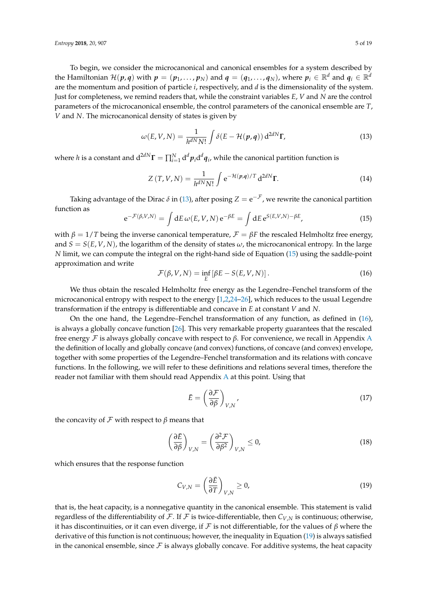To begin, we consider the microcanonical and canonical ensembles for a system described by the Hamiltonian  $\mathcal{H}(p,q)$  with  $p = (p_1, \ldots, p_N)$  and  $q = (q_1, \ldots, q_N)$ , where  $p_i \in \mathbb{R}^d$  and  $q_i \in \mathbb{R}^d$ are the momentum and position of particle *i*, respectively, and *d* is the dimensionality of the system. Just for completeness, we remind readers that, while the constraint variables *E*, *V* and *N* are the control parameters of the microcanonical ensemble, the control parameters of the canonical ensemble are *T*, *V* and *N*. The microcanonical density of states is given by

<span id="page-4-0"></span>
$$
\omega(E, V, N) = \frac{1}{h^{dN} N!} \int \delta(E - \mathcal{H}(\mathbf{p}, \mathbf{q})) d^{2dN} \mathbf{\Gamma},
$$
\n(13)

where *h* is a constant and  $d^{2dN}\Gamma = \prod_{i=1}^N d^d p_i d^d q_i$ , while the canonical partition function is

$$
Z(T, V, N) = \frac{1}{h^{dN} N!} \int e^{-\mathcal{H}(p,q)/T} d^{2dN} \Gamma.
$$
 (14)

Taking advantage of the Dirac  $\delta$  in [\(13\)](#page-4-0), after posing  $Z = \mathrm{e}^{-\mathcal{F}}$ , we rewrite the canonical partition function as

<span id="page-4-1"></span>
$$
e^{-\mathcal{F}(\beta,V,N)} = \int dE \,\omega(E,V,N) \, e^{-\beta E} = \int dE \, e^{S(E,V,N) - \beta E},\tag{15}
$$

with  $\beta = 1/T$  being the inverse canonical temperature,  $\mathcal{F} = \beta F$  the rescaled Helmholtz free energy, and  $S = S(E, V, N)$ , the logarithm of the density of states  $\omega$ , the microcanonical entropy. In the large *N* limit, we can compute the integral on the right-hand side of Equation [\(15\)](#page-4-1) using the saddle-point approximation and write

<span id="page-4-2"></span>
$$
\mathcal{F}(\beta, V, N) = \inf_{E} [\beta E - S(E, V, N)].
$$
\n(16)

We thus obtain the rescaled Helmholtz free energy as the Legendre–Fenchel transform of the microcanonical entropy with respect to the energy [\[1,](#page-17-0)[2,](#page-17-1)[24](#page-18-1)[–26\]](#page-18-2), which reduces to the usual Legendre transformation if the entropy is differentiable and concave in *E* at constant *V* and *N*.

On the one hand, the Legendre–Fenchel transformation of any function, as defined in [\(16\)](#page-4-2), is always a globally concave function [\[26\]](#page-18-2). This very remarkable property guarantees that the rescaled free energy F is always globally concave with respect to *β*. For convenience, we recall in Appendix [A](#page-13-0) the definition of locally and globally concave (and convex) functions, of concave (and convex) envelope, together with some properties of the Legendre–Fenchel transformation and its relations with concave functions. In the following, we will refer to these definitions and relations several times, therefore the reader not familiar with them should read Appendix [A](#page-13-0) at this point. Using that

$$
\bar{E} = \left(\frac{\partial \mathcal{F}}{\partial \beta}\right)_{V,N},\tag{17}
$$

the concavity of  $\mathcal F$  with respect to  $\beta$  means that

$$
\left(\frac{\partial \bar{E}}{\partial \beta}\right)_{V,N} = \left(\frac{\partial^2 \mathcal{F}}{\partial \beta^2}\right)_{V,N} \le 0,
$$
\n(18)

which ensures that the response function

<span id="page-4-3"></span>
$$
C_{V,N} = \left(\frac{\partial \bar{E}}{\partial T}\right)_{V,N} \ge 0,
$$
\n(19)

that is, the heat capacity, is a nonnegative quantity in the canonical ensemble. This statement is valid regardless of the differentiability of F. If F is twice-differentiable, then  $C_{V,N}$  is continuous; otherwise, it has discontinuities, or it can even diverge, if F is not differentiable, for the values of  $β$  where the derivative of this function is not continuous; however, the inequality in Equation [\(19\)](#page-4-3) is always satisfied in the canonical ensemble, since  $\mathcal F$  is always globally concave. For additive systems, the heat capacity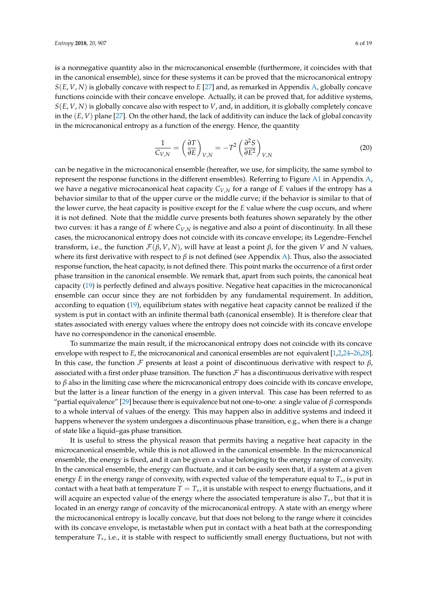is a nonnegative quantity also in the microcanonical ensemble (furthermore, it coincides with that in the canonical ensemble), since for these systems it can be proved that the microcanonical entropy *S*(*E*, *V*, *N*) is globally concave with respect to *E* [\[27\]](#page-18-3) and, as remarked in Appendix [A,](#page-13-0) globally concave functions coincide with their concave envelope. Actually, it can be proved that, for additive systems, *S*(*E*, *V*, *N*) is globally concave also with respect to *V*, and, in addition, it is globally completely concave in the  $(E, V)$  plane [\[27\]](#page-18-3). On the other hand, the lack of additivity can induce the lack of global concavity in the microcanonical entropy as a function of the energy. Hence, the quantity

$$
\frac{1}{C_{V,N}} = \left(\frac{\partial T}{\partial E}\right)_{V,N} = -T^2 \left(\frac{\partial^2 S}{\partial E^2}\right)_{V,N}
$$
(20)

can be negative in the microcanonical ensemble (hereafter, we use, for simplicity, the same symbol to represent the response functions in the different ensembles). Referring to Figure [A1](#page-14-0) in Appendix [A,](#page-13-0) we have a negative microcanonical heat capacity *CV*,*<sup>N</sup>* for a range of *E* values if the entropy has a behavior similar to that of the upper curve or the middle curve; if the behavior is similar to that of the lower curve, the heat capacity is positive except for the *E* value where the cusp occurs, and where it is not defined. Note that the middle curve presents both features shown separately by the other two curves: it has a range of *E* where *CV*,*<sup>N</sup>* is negative and also a point of discontinuity. In all these cases, the microcanonical entropy does not coincide with its concave envelope; its Legendre–Fenchel transform, i.e., the function F(*β*, *V*, *N*), will have at least a point *β*, for the given *V* and *N* values, where its first derivative with respect to *β* is not defined (see Appendix [A\)](#page-13-0). Thus, also the associated response function, the heat capacity, is not defined there. This point marks the occurrence of a first order phase transition in the canonical ensemble. We remark that, apart from such points, the canonical heat capacity [\(19\)](#page-4-3) is perfectly defined and always positive. Negative heat capacities in the microcanonical ensemble can occur since they are not forbidden by any fundamental requirement. In addition, according to equation [\(19\)](#page-4-3), equilibrium states with negative heat capacity cannot be realized if the system is put in contact with an infinite thermal bath (canonical ensemble). It is therefore clear that states associated with energy values where the entropy does not coincide with its concave envelope have no correspondence in the canonical ensemble.

To summarize the main result, if the microcanonical entropy does not coincide with its concave envelope with respect to *E*, the microcanonical and canonical ensembles are not equivalent [\[1](#page-17-0)[,2,](#page-17-1)[24](#page-18-1)[–26](#page-18-2)[,28\]](#page-18-4). In this case, the function F presents at least a point of discontinuous derivative with respect to  $\beta$ , associated with a first order phase transition. The function  $\mathcal F$  has a discontinuous derivative with respect to *β* also in the limiting case where the microcanonical entropy does coincide with its concave envelope, but the latter is a linear function of the energy in a given interval. This case has been referred to as "partial equivalence" [\[29\]](#page-18-5) because there is equivalence but not one-to-one: a single value of *β* corresponds to a whole interval of values of the energy. This may happen also in additive systems and indeed it happens whenever the system undergoes a discontinuous phase transition, e.g., when there is a change of state like a liquid–gas phase transition.

It is useful to stress the physical reason that permits having a negative heat capacity in the microcanonical ensemble, while this is not allowed in the canonical ensemble. In the microcanonical ensemble, the energy is fixed, and it can be given a value belonging to the energy range of convexity. In the canonical ensemble, the energy can fluctuate, and it can be easily seen that, if a system at a given energy *E* in the energy range of convexity, with expected value of the temperature equal to *T*∗, is put in contact with a heat bath at temperature  $T = T_*$ , it is unstable with respect to energy fluctuations, and it will acquire an expected value of the energy where the associated temperature is also *T*∗, but that it is located in an energy range of concavity of the microcanonical entropy. A state with an energy where the microcanonical entropy is locally concave, but that does not belong to the range where it coincides with its concave envelope, is metastable when put in contact with a heat bath at the corresponding temperature *T*∗, i.e., it is stable with respect to sufficiently small energy fluctuations, but not with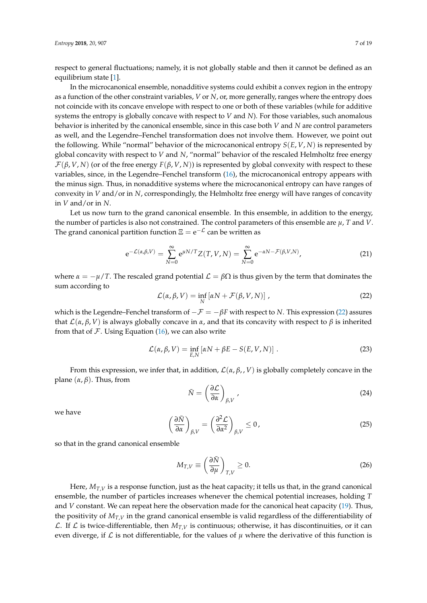respect to general fluctuations; namely, it is not globally stable and then it cannot be defined as an equilibrium state [\[1\]](#page-17-0).

In the microcanonical ensemble, nonadditive systems could exhibit a convex region in the entropy as a function of the other constraint variables, *V* or *N*, or, more generally, ranges where the entropy does not coincide with its concave envelope with respect to one or both of these variables (while for additive systems the entropy is globally concave with respect to *V* and *N*). For those variables, such anomalous behavior is inherited by the canonical ensemble, since in this case both *V* and *N* are control parameters as well, and the Legendre–Fenchel transformation does not involve them. However, we point out the following. While "normal" behavior of the microcanonical entropy *S*(*E*, *V*, *N*) is represented by global concavity with respect to *V* and *N*, "normal" behavior of the rescaled Helmholtz free energy  $\mathcal{F}(\beta, V, N)$  (or of the free energy  $F(\beta, V, N)$ ) is represented by global convexity with respect to these variables, since, in the Legendre–Fenchel transform [\(16\)](#page-4-2), the microcanonical entropy appears with the minus sign. Thus, in nonadditive systems where the microcanonical entropy can have ranges of convexity in *V* and/or in *N*, correspondingly, the Helmholtz free energy will have ranges of concavity in *V* and/or in *N*.

Let us now turn to the grand canonical ensemble. In this ensemble, in addition to the energy, the number of particles is also not constrained. The control parameters of this ensemble are *µ*, *T* and *V*. The grand canonical partition function  $\Xi = \mathrm{e}^{-\mathcal{L}}$  can be written as

$$
e^{-\mathcal{L}(\alpha,\beta,V)} = \sum_{N=0}^{\infty} e^{\mu N/T} Z(T,V,N) = \sum_{N=0}^{\infty} e^{-\alpha N - \mathcal{F}(\beta,V,N)},
$$
(21)

where  $\alpha = -\mu/T$ . The rescaled grand potential  $\mathcal{L} = \beta \Omega$  is thus given by the term that dominates the sum according to

<span id="page-6-0"></span>
$$
\mathcal{L}(\alpha, \beta, V) = \inf_{N} [\alpha N + \mathcal{F}(\beta, V, N)] \tag{22}
$$

which is the Legendre–Fenchel transform of  $-\mathcal{F} = -\beta F$  with respect to *N*. This expression [\(22\)](#page-6-0) assures that  $\mathcal{L}(\alpha, \beta, V)$  is always globally concave in *α*, and that its concavity with respect to *β* is inherited from that of  $F$ . Using Equation [\(16\)](#page-4-2), we can also write

<span id="page-6-2"></span>
$$
\mathcal{L}(\alpha, \beta, V) = \inf_{E,N} [\alpha N + \beta E - S(E, V, N)] .
$$
 (23)

From this expression, we infer that, in addition, L(*α*, *β*, , *V*) is globally completely concave in the plane (*α*, *β*). Thus, from

$$
\bar{N} = \left(\frac{\partial \mathcal{L}}{\partial \alpha}\right)_{\beta, V},\tag{24}
$$

we have

$$
\left(\frac{\partial \bar{N}}{\partial \alpha}\right)_{\beta,V} = \left(\frac{\partial^2 \mathcal{L}}{\partial \alpha^2}\right)_{\beta,V} \le 0,
$$
\n(25)

so that in the grand canonical ensemble

<span id="page-6-1"></span>
$$
M_{T,V} \equiv \left(\frac{\partial \bar{N}}{\partial \mu}\right)_{T,V} \ge 0. \tag{26}
$$

Here,  $M_{T,V}$  is a response function, just as the heat capacity; it tells us that, in the grand canonical ensemble, the number of particles increases whenever the chemical potential increases, holding *T* and *V* constant. We can repeat here the observation made for the canonical heat capacity [\(19\)](#page-4-3). Thus, the positivity of  $M_{TV}$  in the grand canonical ensemble is valid regardless of the differentiability of L. If L is twice-differentiable, then  $M_{T,V}$  is continuous; otherwise, it has discontinuities, or it can even diverge, if  $\mathcal L$  is not differentiable, for the values of  $\mu$  where the derivative of this function is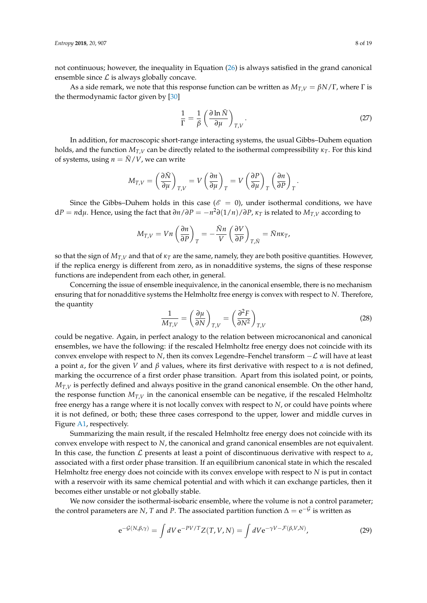not continuous; however, the inequality in Equation [\(26\)](#page-6-1) is always satisfied in the grand canonical ensemble since  $\mathcal L$  is always globally concave.

As a side remark, we note that this response function can be written as  $M_{T,V} = \beta N/\Gamma$ , where  $\Gamma$  is the thermodynamic factor given by [\[30\]](#page-18-6)

$$
\frac{1}{\Gamma} = \frac{1}{\beta} \left( \frac{\partial \ln \bar{N}}{\partial \mu} \right)_{T,V} .
$$
\n(27)

In addition, for macroscopic short-range interacting systems, the usual Gibbs–Duhem equation holds, and the function  $M_{T,V}$  can be directly related to the isothermal compressibility  $\kappa_T$ . For this kind of systems, using  $n = \bar{N}/V$ , we can write

$$
M_{T,V} = \left(\frac{\partial \bar{N}}{\partial \mu}\right)_{T,V} = V\left(\frac{\partial n}{\partial \mu}\right)_T = V\left(\frac{\partial P}{\partial \mu}\right)_T \left(\frac{\partial n}{\partial P}\right)_T.
$$

Since the Gibbs–Duhem holds in this case ( $\mathscr{E} = 0$ ), under isothermal conditions, we have d*P* = *n*d*µ*. Hence, using the fact that *∂n*/*∂P* = −*n* <sup>2</sup>*∂*(1/*n*)/*∂P*, *κ<sup>T</sup>* is related to *MT*,*<sup>V</sup>* according to

$$
M_{T,V} = Vn \left(\frac{\partial n}{\partial P}\right)_T = -\frac{\bar{N}n}{V} \left(\frac{\partial V}{\partial P}\right)_{T,\bar{N}} = \bar{N}n\kappa_T,
$$

so that the sign of  $M_{TV}$  and that of  $\kappa_T$  are the same, namely, they are both positive quantities. However, if the replica energy is different from zero, as in nonadditive systems, the signs of these response functions are independent from each other, in general.

Concerning the issue of ensemble inequivalence, in the canonical ensemble, there is no mechanism ensuring that for nonadditive systems the Helmholtz free energy is convex with respect to *N*. Therefore, the quantity

$$
\frac{1}{M_{T,V}} = \left(\frac{\partial \mu}{\partial N}\right)_{T,V} = \left(\frac{\partial^2 F}{\partial N^2}\right)_{T,V}
$$
(28)

could be negative. Again, in perfect analogy to the relation between microcanonical and canonical ensembles, we have the following: if the rescaled Helmholtz free energy does not coincide with its convex envelope with respect to *N*, then its convex Legendre–Fenchel transform  $-\mathcal{L}$  will have at least a point *α*, for the given *V* and *β* values, where its first derivative with respect to *α* is not defined, marking the occurrence of a first order phase transition. Apart from this isolated point, or points,  $M_{T,V}$  is perfectly defined and always positive in the grand canonical ensemble. On the other hand, the response function  $M_{T,V}$  in the canonical ensemble can be negative, if the rescaled Helmholtz free energy has a range where it is not locally convex with respect to *N*, or could have points where it is not defined, or both; these three cases correspond to the upper, lower and middle curves in Figure [A1,](#page-14-0) respectively.

Summarizing the main result, if the rescaled Helmholtz free energy does not coincide with its convex envelope with respect to *N*, the canonical and grand canonical ensembles are not equivalent. In this case, the function L presents at least a point of discontinuous derivative with respect to  $\alpha$ , associated with a first order phase transition. If an equilibrium canonical state in which the rescaled Helmholtz free energy does not coincide with its convex envelope with respect to *N* is put in contact with a reservoir with its same chemical potential and with which it can exchange particles, then it becomes either unstable or not globally stable.

We now consider the isothermal-isobaric ensemble, where the volume is not a control parameter; the control parameters are *N, T* and *P*. The associated partition function  $\Delta = e^{-\mathcal{G}}$  is written as

$$
e^{-\mathcal{G}(N,\beta,\gamma)} = \int dV \, e^{-PV/T} Z(T,V,N) = \int dV e^{-\gamma V - \mathcal{F}(\beta,V,N)},\tag{29}
$$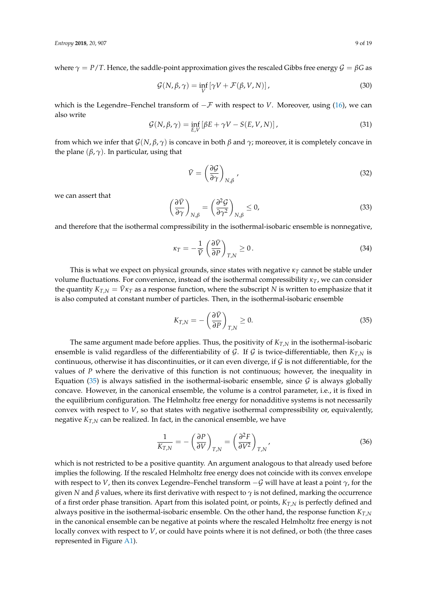where  $\gamma = P/T$ . Hence, the saddle-point approximation gives the rescaled Gibbs free energy  $\mathcal{G} = \beta G$  as

$$
\mathcal{G}(N,\beta,\gamma) = \inf_{V} \left[ \gamma V + \mathcal{F}(\beta,V,N) \right],\tag{30}
$$

which is the Legendre–Fenchel transform of −F with respect to *V*. Moreover, using [\(16\)](#page-4-2), we can also write

<span id="page-8-1"></span>
$$
\mathcal{G}(N,\beta,\gamma) = \inf_{E,V} \left[ \beta E + \gamma V - S(E,V,N) \right],\tag{31}
$$

from which we infer that G(*N*, *β*, *γ*) is concave in both *β* and *γ*; moreover, it is completely concave in the plane  $(\beta, \gamma)$ . In particular, using that

$$
\bar{V} = \left(\frac{\partial \mathcal{G}}{\partial \gamma}\right)_{N,\beta},\tag{32}
$$

we can assert that

$$
\left(\frac{\partial \bar{V}}{\partial \gamma}\right)_{N,\beta} = \left(\frac{\partial^2 \mathcal{G}}{\partial \gamma^2}\right)_{N,\beta} \le 0,\tag{33}
$$

and therefore that the isothermal compressibility in the isothermal-isobaric ensemble is nonnegative,

$$
\kappa_T = -\frac{1}{\bar{V}} \left( \frac{\partial \bar{V}}{\partial P} \right)_{T,N} \ge 0. \tag{34}
$$

This is what we expect on physical grounds, since states with negative  $\kappa_T$  cannot be stable under volume fluctuations. For convenience, instead of the isothermal compressibility *κT*, we can consider the quantity  $K_{T,N} = \bar{V}\kappa_T$  as a response function, where the subscript *N* is written to emphasize that it is also computed at constant number of particles. Then, in the isothermal-isobaric ensemble

<span id="page-8-0"></span>
$$
K_{T,N} = -\left(\frac{\partial \bar{V}}{\partial P}\right)_{T,N} \ge 0. \tag{35}
$$

The same argument made before applies. Thus, the positivity of *KT*,*<sup>N</sup>* in the isothermal-isobaric ensemble is valid regardless of the differentiability of G. If G is twice-differentiable, then  $K_{T,N}$  is continuous, otherwise it has discontinuities, or it can even diverge, if  $G$  is not differentiable, for the values of *P* where the derivative of this function is not continuous; however, the inequality in Equation [\(35\)](#page-8-0) is always satisfied in the isothermal-isobaric ensemble, since  $\mathcal G$  is always globally concave. However, in the canonical ensemble, the volume is a control parameter, i.e., it is fixed in the equilibrium configuration. The Helmholtz free energy for nonadditive systems is not necessarily convex with respect to *V*, so that states with negative isothermal compressibility or, equivalently, negative  $K_{T,N}$  can be realized. In fact, in the canonical ensemble, we have

$$
\frac{1}{K_{T,N}} = -\left(\frac{\partial P}{\partial V}\right)_{T,N} = \left(\frac{\partial^2 F}{\partial V^2}\right)_{T,N'},
$$
\n(36)

which is not restricted to be a positive quantity. An argument analogous to that already used before implies the following. If the rescaled Helmholtz free energy does not coincide with its convex envelope with respect to *V*, then its convex Legendre–Fenchel transform −G will have at least a point *γ*, for the given *N* and *β* values, where its first derivative with respect to  $\gamma$  is not defined, marking the occurrence of a first order phase transition. Apart from this isolated point, or points, *KT*,*<sup>N</sup>* is perfectly defined and always positive in the isothermal-isobaric ensemble. On the other hand, the response function *KT*,*<sup>N</sup>* in the canonical ensemble can be negative at points where the rescaled Helmholtz free energy is not locally convex with respect to *V*, or could have points where it is not defined, or both (the three cases represented in Figure [A1\)](#page-14-0).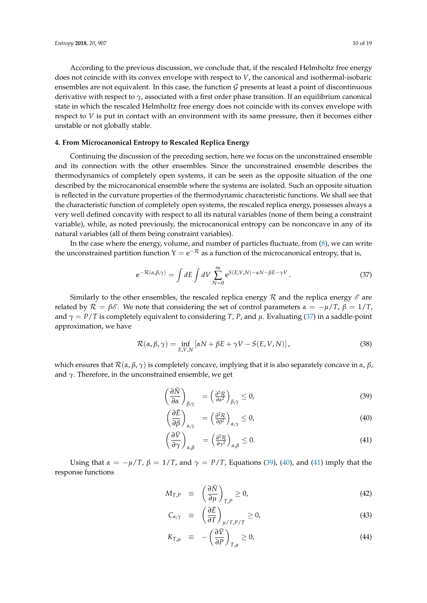According to the previous discussion, we conclude that, if the rescaled Helmholtz free energy does not coincide with its convex envelope with respect to *V*, the canonical and isothermal-isobaric ensembles are not equivalent. In this case, the function  $\mathcal G$  presents at least a point of discontinuous derivative with respect to *γ*, associated with a first order phase transition. If an equilibrium canonical state in which the rescaled Helmholtz free energy does not coincide with its convex envelope with respect to *V* is put in contact with an environment with its same pressure, then it becomes either unstable or not globally stable.

# <span id="page-9-0"></span>**4. From Microcanonical Entropy to Rescaled Replica Energy**

Continuing the discussion of the preceding section, here we focus on the unconstrained ensemble and its connection with the other ensembles. Since the unconstrained ensemble describes the thermodynamics of completely open systems, it can be seen as the opposite situation of the one described by the microcanonical ensemble where the systems are isolated. Such an opposite situation is reflected in the curvature properties of the thermodynamic characteristic functions. We shall see that the characteristic function of completely open systems, the rescaled replica energy, possesses always a very well defined concavity with respect to all its natural variables (none of them being a constraint variable), while, as noted previously, the microcanonical entropy can be nonconcave in any of its natural variables (all of them being constraint variables).

In the case where the energy, volume, and number of particles fluctuate, from [\(8\)](#page-3-2), we can write the unconstrained partition function  $Y = e^{-\mathcal{R}}$  as a function of the microcanonical entropy, that is,

<span id="page-9-1"></span>
$$
e^{-\mathcal{R}(\alpha,\beta,\gamma)} = \int dE \int dV \sum_{N=0}^{\infty} e^{S(E,V,N) - \alpha N - \beta E - \gamma V}.
$$
 (37)

Similarly to the other ensembles, the rescaled replica energy  $R$  and the replica energy  $\mathscr E$  are related by  $\mathcal{R} = \beta \mathcal{E}$ . We note that considering the set of control parameters  $\alpha = -\mu/T$ ,  $\beta = 1/T$ , and  $\gamma = P/T$  is completely equivalent to considering *T*, *P*, and  $\mu$ . Evaluating [\(37\)](#page-9-1) in a saddle-point approximation, we have

$$
\mathcal{R}(\alpha,\beta,\gamma) = \inf_{E,V,N} \left[ \alpha N + \beta E + \gamma V - S(E,V,N) \right],
$$
\n(38)

which ensures that  $\mathcal{R}(\alpha, \beta, \gamma)$  is completely concave, implying that it is also separately concave in  $\alpha$ ,  $\beta$ , and  $\gamma$ . Therefore, in the unconstrained ensemble, we get

<span id="page-9-2"></span>
$$
\left(\frac{\partial \bar{N}}{\partial \alpha}\right)_{\beta,\gamma} = \left(\frac{\partial^2 \mathcal{R}}{\partial \alpha^2}\right)_{\beta,\gamma} \le 0,
$$
\n(39)

$$
\left(\frac{\partial \bar{E}}{\partial \beta}\right)_{\alpha,\gamma} = \left(\frac{\partial^2 \mathcal{R}}{\partial \beta^2}\right)_{\alpha,\gamma} \le 0,\tag{40}
$$

$$
\left(\frac{\partial \bar{V}}{\partial \gamma}\right)_{\alpha,\beta} = \left(\frac{\partial^2 \mathcal{R}}{\partial \gamma^2}\right)_{\alpha,\beta} \le 0. \tag{41}
$$

Using that  $\alpha = -\mu/T$ ,  $\beta = 1/T$ , and  $\gamma = P/T$ , Equations [\(39\)](#page-9-2), [\(40\)](#page-9-2), and [\(41\)](#page-9-2) imply that the response functions

$$
M_{T,P} \equiv \left(\frac{\partial \bar{N}}{\partial \mu}\right)_{T,P} \ge 0,
$$
\n(42)

$$
C_{\alpha,\gamma} \equiv \left(\frac{\partial \bar{E}}{\partial T}\right)_{\mu/T,P/T} \ge 0,
$$
\n(43)

$$
K_{T,\mu} \equiv -\left(\frac{\partial \bar{V}}{\partial P}\right)_{T,\mu} \ge 0, \tag{44}
$$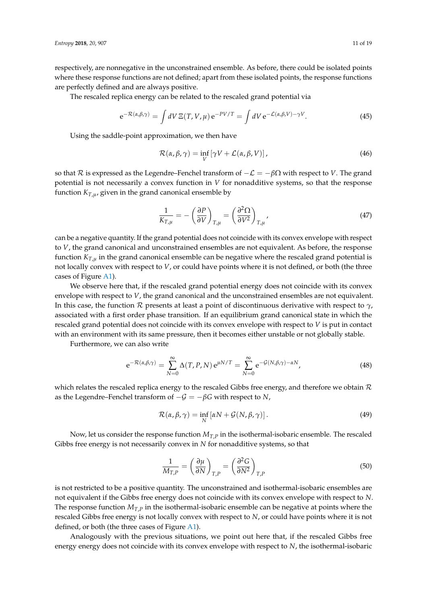respectively, are nonnegative in the unconstrained ensemble. As before, there could be isolated points where these response functions are not defined; apart from these isolated points, the response functions are perfectly defined and are always positive.

The rescaled replica energy can be related to the rescaled grand potential via

$$
e^{-\mathcal{R}(\alpha,\beta,\gamma)} = \int dV \, \Xi(T,V,\mu) \, e^{-PV/T} = \int dV \, e^{-\mathcal{L}(\alpha,\beta,V) - \gamma V}.\tag{45}
$$

Using the saddle-point approximation, we then have

$$
\mathcal{R}(\alpha, \beta, \gamma) = \inf_{V} \left[ \gamma V + \mathcal{L}(\alpha, \beta, V) \right],
$$
\n(46)

so that R is expressed as the Legendre–Fenchel transform of  $-\mathcal{L} = -\beta\Omega$  with respect to *V*. The grand potential is not necessarily a convex function in *V* for nonadditive systems, so that the response function  $K_{T,u}$ , given in the grand canonical ensemble by

$$
\frac{1}{K_{T,\mu}} = -\left(\frac{\partial P}{\partial V}\right)_{T,\mu} = \left(\frac{\partial^2 \Omega}{\partial V^2}\right)_{T,\mu'},\tag{47}
$$

can be a negative quantity. If the grand potential does not coincide with its convex envelope with respect to *V*, the grand canonical and unconstrained ensembles are not equivalent. As before, the response function  $K_{T,\mu}$  in the grand canonical ensemble can be negative where the rescaled grand potential is not locally convex with respect to *V*, or could have points where it is not defined, or both (the three cases of Figure [A1\)](#page-14-0).

We observe here that, if the rescaled grand potential energy does not coincide with its convex envelope with respect to *V*, the grand canonical and the unconstrained ensembles are not equivalent. In this case, the function R presents at least a point of discontinuous derivative with respect to  $\gamma$ , associated with a first order phase transition. If an equilibrium grand canonical state in which the rescaled grand potential does not coincide with its convex envelope with respect to *V* is put in contact with an environment with its same pressure, then it becomes either unstable or not globally stable.

Furthermore, we can also write

$$
e^{-\mathcal{R}(\alpha,\beta,\gamma)} = \sum_{N=0}^{\infty} \Delta(T,P,N) e^{\mu N/T} = \sum_{N=0}^{\infty} e^{-\mathcal{G}(N,\beta,\gamma) - \alpha N},
$$
(48)

which relates the rescaled replica energy to the rescaled Gibbs free energy, and therefore we obtain  $\mathcal R$ as the Legendre–Fenchel transform of  $-\mathcal{G} = -\beta G$  with respect to *N*,

$$
\mathcal{R}(\alpha, \beta, \gamma) = \inf_{N} [\alpha N + \mathcal{G}(N, \beta, \gamma)].
$$
\n(49)

Now, let us consider the response function  $M_{T,P}$  in the isothermal-isobaric ensemble. The rescaled Gibbs free energy is not necessarily convex in *N* for nonadditive systems, so that

$$
\frac{1}{M_{T,P}} = \left(\frac{\partial \mu}{\partial N}\right)_{T,P} = \left(\frac{\partial^2 G}{\partial N^2}\right)_{T,P}
$$
\n(50)

is not restricted to be a positive quantity. The unconstrained and isothermal-isobaric ensembles are not equivalent if the Gibbs free energy does not coincide with its convex envelope with respect to *N*. The response function  $M_{T,P}$  in the isothermal-isobaric ensemble can be negative at points where the rescaled Gibbs free energy is not locally convex with respect to *N*, or could have points where it is not defined, or both (the three cases of Figure [A1\)](#page-14-0).

Analogously with the previous situations, we point out here that, if the rescaled Gibbs free energy energy does not coincide with its convex envelope with respect to *N*, the isothermal-isobaric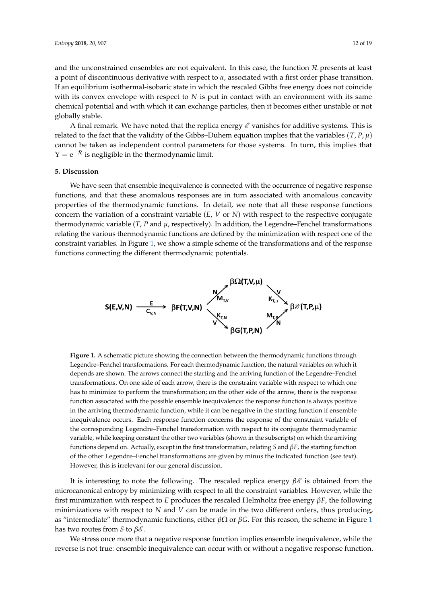and the unconstrained ensembles are not equivalent. In this case, the function  $R$  presents at least a point of discontinuous derivative with respect to *α*, associated with a first order phase transition. If an equilibrium isothermal-isobaric state in which the rescaled Gibbs free energy does not coincide with its convex envelope with respect to *N* is put in contact with an environment with its same chemical potential and with which it can exchange particles, then it becomes either unstable or not globally stable.

A final remark. We have noted that the replica energy  $\mathscr E$  vanishes for additive systems. This is related to the fact that the validity of the Gibbs–Duhem equation implies that the variables  $(T, P, \mu)$ cannot be taken as independent control parameters for those systems. In turn, this implies that  $\rm Y = e^{-\mathcal{R}}$  is negligible in the thermodynamic limit.

## **5. Discussion**

We have seen that ensemble inequivalence is connected with the occurrence of negative response functions, and that these anomalous responses are in turn associated with anomalous concavity properties of the thermodynamic functions. In detail, we note that all these response functions concern the variation of a constraint variable (*E*, *V* or *N*) with respect to the respective conjugate thermodynamic variable  $(T, P \text{ and } \mu$ , respectively). In addition, the Legendre–Fenchel transformations relating the various thermodynamic functions are defined by the minimization with respect one of the constraint variables. In Figure [1,](#page-11-0) we show a simple scheme of the transformations and of the response functions connecting the different thermodynamic potentials.

<span id="page-11-0"></span>

**Figure 1.** A schematic picture showing the connection between the thermodynamic functions through Legendre–Fenchel transformations. For each thermodynamic function, the natural variables on which it depends are shown. The arrows connect the starting and the arriving function of the Legendre–Fenchel transformations. On one side of each arrow, there is the constraint variable with respect to which one has to minimize to perform the transformation; on the other side of the arrow, there is the response function associated with the possible ensemble inequivalence: the response function is always positive in the arriving thermodynamic function, while it can be negative in the starting function if ensemble inequivalence occurs. Each response function concerns the response of the constraint variable of the corresponding Legendre–Fenchel transformation with respect to its conjugate thermodynamic variable, while keeping constant the other two variables (shown in the subscripts) on which the arriving functions depend on. Actually, except in the first transformation, relating *S* and *βF*, the starting function of the other Legendre–Fenchel transformations are given by minus the indicated function (see text). However, this is irrelevant for our general discussion.

It is interesting to note the following. The rescaled replica energy  $\beta \mathscr{E}$  is obtained from the microcanonical entropy by minimizing with respect to all the constraint variables. However, while the first minimization with respect to *E* produces the rescaled Helmholtz free energy *βF*, the following minimizations with respect to *N* and *V* can be made in the two different orders, thus producing, as "intermediate" thermodynamic functions, either *β*Ω or *βG*. For this reason, the scheme in Figure [1](#page-11-0) has two routes from *S* to *βε*.

We stress once more that a negative response function implies ensemble inequivalence, while the reverse is not true: ensemble inequivalence can occur with or without a negative response function.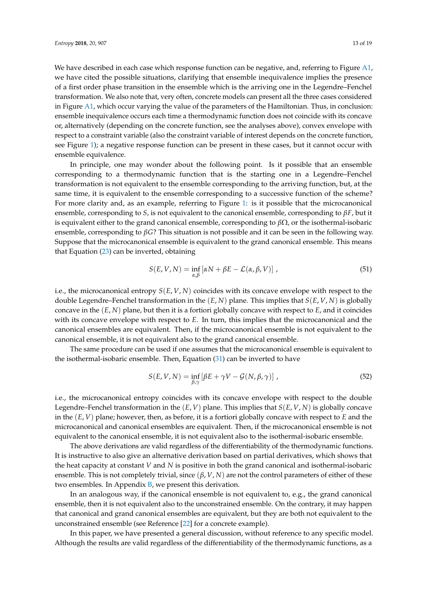We have described in each case which response function can be negative, and, referring to Figure [A1,](#page-14-0) we have cited the possible situations, clarifying that ensemble inequivalence implies the presence of a first order phase transition in the ensemble which is the arriving one in the Legendre–Fenchel transformation. We also note that, very often, concrete models can present all the three cases considered in Figure [A1,](#page-14-0) which occur varying the value of the parameters of the Hamiltonian. Thus, in conclusion: ensemble inequivalence occurs each time a thermodynamic function does not coincide with its concave or, alternatively (depending on the concrete function, see the analyses above), convex envelope with respect to a constraint variable (also the constraint variable of interest depends on the concrete function, see Figure [1\)](#page-11-0); a negative response function can be present in these cases, but it cannot occur with ensemble equivalence.

In principle, one may wonder about the following point. Is it possible that an ensemble corresponding to a thermodynamic function that is the starting one in a Legendre–Fenchel transformation is not equivalent to the ensemble corresponding to the arriving function, but, at the same time, it is equivalent to the ensemble corresponding to a successive function of the scheme? For more clarity and, as an example, referring to Figure [1:](#page-11-0) is it possible that the microcanonical ensemble, corresponding to *S*, is not equivalent to the canonical ensemble, corresponding to *βF*, but it is equivalent either to the grand canonical ensemble, corresponding to *β*Ω, or the isothermal-isobaric ensemble, corresponding to *βG*? This situation is not possible and it can be seen in the following way. Suppose that the microcanonical ensemble is equivalent to the grand canonical ensemble. This means that Equation [\(23\)](#page-6-2) can be inverted, obtaining

$$
S(E, V, N) = \inf_{\alpha, \beta} \left[ \alpha N + \beta E - \mathcal{L}(\alpha, \beta, V) \right],
$$
\n(51)

i.e., the microcanonical entropy *S*(*E*, *V*, *N*) coincides with its concave envelope with respect to the double Legendre–Fenchel transformation in the (*E*, *N*) plane. This implies that *S*(*E*, *V*, *N*) is globally concave in the (*E*, *N*) plane, but then it is a fortiori globally concave with respect to *E*, and it coincides with its concave envelope with respect to *E*. In turn, this implies that the microcanonical and the canonical ensembles are equivalent. Then, if the microcanonical ensemble is not equivalent to the canonical ensemble, it is not equivalent also to the grand canonical ensemble.

The same procedure can be used if one assumes that the microcanonical ensemble is equivalent to the isothermal-isobaric ensemble. Then, Equation [\(31\)](#page-8-1) can be inverted to have

$$
S(E, V, N) = \inf_{\beta, \gamma} \left[ \beta E + \gamma V - \mathcal{G}(N, \beta, \gamma) \right],
$$
 (52)

i.e., the microcanonical entropy coincides with its concave envelope with respect to the double Legendre–Fenchel transformation in the (*E*, *V*) plane. This implies that *S*(*E*, *V*, *N*) is globally concave in the (*E*, *V*) plane; however, then, as before, it is a fortiori globally concave with respect to *E* and the microcanonical and canonical ensembles are equivalent. Then, if the microcanonical ensemble is not equivalent to the canonical ensemble, it is not equivalent also to the isothermal-isobaric ensemble.

The above derivations are valid regardless of the differentiability of the thermodynamic functions. It is instructive to also give an alternative derivation based on partial derivatives, which shows that the heat capacity at constant *V* and *N* is positive in both the grand canonical and isothermal-isobaric ensemble. This is not completely trivial, since (*β*, *V*, *N*) are not the control parameters of either of these two ensembles. In Appendix [B,](#page-16-0) we present this derivation.

In an analogous way, if the canonical ensemble is not equivalent to, e.g., the grand canonical ensemble, then it is not equivalent also to the unconstrained ensemble. On the contrary, it may happen that canonical and grand canonical ensembles are equivalent, but they are both not equivalent to the unconstrained ensemble (see Reference [\[22\]](#page-17-13) for a concrete example).

In this paper, we have presented a general discussion, without reference to any specific model. Although the results are valid regardless of the differentiability of the thermodynamic functions, as a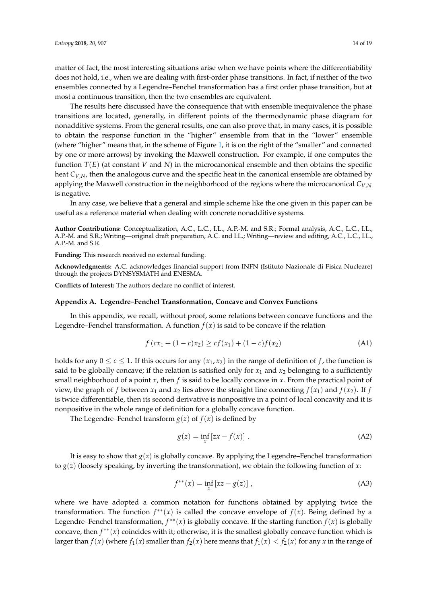matter of fact, the most interesting situations arise when we have points where the differentiability does not hold, i.e., when we are dealing with first-order phase transitions. In fact, if neither of the two ensembles connected by a Legendre–Fenchel transformation has a first order phase transition, but at most a continuous transition, then the two ensembles are equivalent.

The results here discussed have the consequence that with ensemble inequivalence the phase transitions are located, generally, in different points of the thermodynamic phase diagram for nonadditive systems. From the general results, one can also prove that, in many cases, it is possible to obtain the response function in the "higher" ensemble from that in the "lower" ensemble (where "higher" means that, in the scheme of Figure [1,](#page-11-0) it is on the right of the "smaller" and connected by one or more arrows) by invoking the Maxwell construction. For example, if one computes the function *T*(*E*) (at constant *V* and *N*) in the microcanonical ensemble and then obtains the specific heat *CV*,*N*, then the analogous curve and the specific heat in the canonical ensemble are obtained by applying the Maxwell construction in the neighborhood of the regions where the microcanonical *CV*,*<sup>N</sup>* is negative.

In any case, we believe that a general and simple scheme like the one given in this paper can be useful as a reference material when dealing with concrete nonadditive systems.

**Author Contributions:** Conceptualization, A.C., L.C., I.L., A.P.-M. and S.R.; Formal analysis, A.C., L.C., I.L., A.P.-M. and S.R.; Writing—original draft preparation, A.C. and I.L.; Writing—review and editing, A.C., L.C., I.L., A.P.-M. and S.R.

**Funding:** This research received no external funding.

**Acknowledgments:** A.C. acknowledges financial support from INFN (Istituto Nazionale di Fisica Nucleare) through the projects DYNSYSMATH and ENESMA.

**Conflicts of Interest:** The authors declare no conflict of interest.

## <span id="page-13-0"></span>**Appendix A. Legendre–Fenchel Transformation, Concave and Convex Functions**

In this appendix, we recall, without proof, some relations between concave functions and the Legendre–Fenchel transformation. A function  $f(x)$  is said to be concave if the relation

<span id="page-13-2"></span>
$$
f(cx_1 + (1 - c)x_2) \ge cf(x_1) + (1 - c)f(x_2)
$$
\n(A1)

holds for any  $0 \le c \le 1$ . If this occurs for any  $(x_1, x_2)$  in the range of definition of f, the function is said to be globally concave; if the relation is satisfied only for  $x_1$  and  $x_2$  belonging to a sufficiently small neighborhood of a point *x*, then *f* is said to be locally concave in *x*. From the practical point of view, the graph of *f* between  $x_1$  and  $x_2$  lies above the straight line connecting  $f(x_1)$  and  $f(x_2)$ . If *f* is twice differentiable, then its second derivative is nonpositive in a point of local concavity and it is nonpositive in the whole range of definition for a globally concave function.

The Legendre–Fenchel transform  $g(z)$  of  $f(x)$  is defined by

<span id="page-13-1"></span>
$$
g(z) = \inf_{x} [zx - f(x)].
$$
 (A2)

It is easy to show that *g*(*z*) is globally concave. By applying the Legendre–Fenchel transformation to *g*(*z*) (loosely speaking, by inverting the transformation), we obtain the following function of *x*:

$$
f^{**}(x) = \inf_{z} [xz - g(z)],
$$
 (A3)

where we have adopted a common notation for functions obtained by applying twice the transformation. The function  $f^{**}(x)$  is called the concave envelope of  $f(x)$ . Being defined by a Legendre–Fenchel transformation,  $f^{**}(x)$  is globally concave. If the starting function  $f(x)$  is globally concave, then *f* ∗∗(*x*) coincides with it; otherwise, it is the smallest globally concave function which is larger than  $f(x)$  (where  $f_1(x)$  smaller than  $f_2(x)$  here means that  $f_1(x) < f_2(x)$  for any *x* in the range of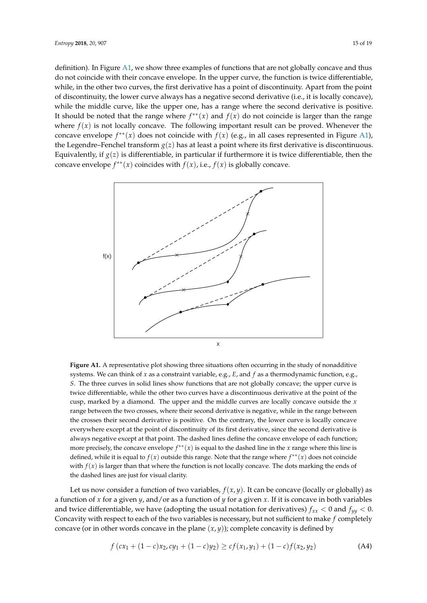definition). In Figure  $A1$ , we show three examples of functions that are not globally concave and thus do not coincide with their concave envelope. In the upper curve, the function is twice differentiable, while, in the other two curves, the first derivative has a point of discontinuity. Apart from the point of discontinuity, the lower curve always has a negative second derivative (i.e., it is locally concave), while the middle curve, like the upper one, has a range where the second derivative is positive. It should be noted that the range where *f* ∗∗(*x*) and *f*(*x*) do not coincide is larger than the range where  $f(x)$  is not locally concave. The following important result can be proved. Whenever the concave envelope  $f^{**}(x)$  does not coincide with  $f(x)$  (e.g., in all cases represented in Figure [A1\)](#page-14-0), the Legendre–Fenchel transform  $g(z)$  has at least a point where its first derivative is discontinuous. Equivalently, if  $g(z)$  is differentiable, in particular if furthermore it is twice differentiable, then the concave envelope  $f^{**}(x)$  coincides with  $f(x)$ , i.e.,  $f(x)$  is globally concave.

<span id="page-14-0"></span>

**Figure A1.** A representative plot showing three situations often occurring in the study of nonadditive systems. We can think of *x* as a constraint variable, e.g., *E*, and *f* as a thermodynamic function, e.g., *S*. The three curves in solid lines show functions that are not globally concave; the upper curve is twice differentiable, while the other two curves have a discontinuous derivative at the point of the cusp, marked by a diamond. The upper and the middle curves are locally concave outside the *x* range between the two crosses, where their second derivative is negative, while in the range between the crosses their second derivative is positive. On the contrary, the lower curve is locally concave everywhere except at the point of discontinuity of its first derivative, since the second derivative is always negative except at that point. The dashed lines define the concave envelope of each function; more precisely, the concave envelope *f* ∗∗(*x*) is equal to the dashed line in the *x* range where this line is defined, while it is equal to *f*(*x*) outside this range. Note that the range where *f* ∗∗(*x*) does not coincide with  $f(x)$  is larger than that where the function is not locally concave. The dots marking the ends of the dashed lines are just for visual clarity.

Let us now consider a function of two variables,  $f(x, y)$ . It can be concave (locally or globally) as a function of *x* for a given *y*, and/or as a function of *y* for a given *x*. If it is concave in both variables and twice differentiable, we have (adopting the usual notation for derivatives)  $f_{xx} < 0$  and  $f_{yy} < 0$ . Concavity with respect to each of the two variables is necessary, but not sufficient to make *f* completely concave (or in other words concave in the plane  $(x, y)$ ); complete concavity is defined by

$$
f(cx_1 + (1 - c)x_2, cy_1 + (1 - c)y_2) \ge cf(x_1, y_1) + (1 - c)f(x_2, y_2)
$$
\n(A4)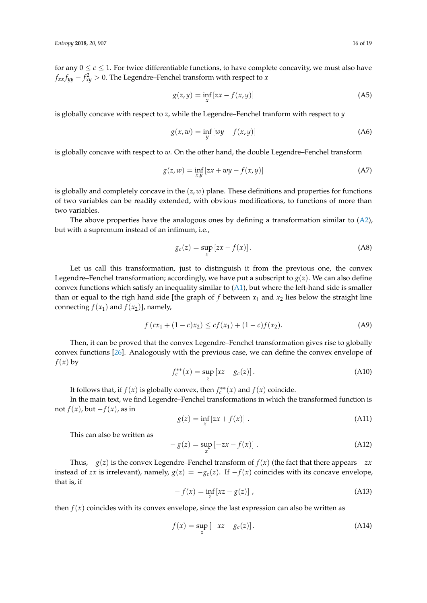for any  $0 \leq c \leq 1$ . For twice differentiable functions, to have complete concavity, we must also have  $f_{xx}f_{yy}-f_{xy}^2>0.$  The Legendre–Fenchel transform with respect to  $x$ 

$$
g(z, y) = \inf_{x} [zx - f(x, y)]
$$
 (A5)

is globally concave with respect to *z*, while the Legendre–Fenchel tranform with respect to *y*

$$
g(x, w) = \inf_{y} [wy - f(x, y)]
$$
 (A6)

is globally concave with respect to *w*. On the other hand, the double Legendre–Fenchel transform

$$
g(z, w) = \inf_{x, y} [zx + wy - f(x, y)]
$$
 (A7)

is globally and completely concave in the (*z*, *w*) plane. These definitions and properties for functions of two variables can be readily extended, with obvious modifications, to functions of more than two variables.

The above properties have the analogous ones by defining a transformation similar to  $(A2)$ , but with a supremum instead of an infimum, i.e.,

$$
g_c(z) = \sup_x \left[ zx - f(x) \right]. \tag{A8}
$$

Let us call this transformation, just to distinguish it from the previous one, the convex Legendre–Fenchel transformation; accordingly, we have put a subscript to  $g(z)$ . We can also define convex functions which satisfy an inequality similar to [\(A1\)](#page-13-2), but where the left-hand side is smaller than or equal to the righ hand side [the graph of  $f$  between  $x_1$  and  $x_2$  lies below the straight line connecting  $f(x_1)$  and  $f(x_2)$ ], namely,

$$
f(cx_1 + (1 - c)x_2) \le cf(x_1) + (1 - c)f(x_2).
$$
 (A9)

Then, it can be proved that the convex Legendre–Fenchel transformation gives rise to globally convex functions [\[26\]](#page-18-2). Analogously with the previous case, we can define the convex envelope of  $f(x)$  by

$$
f_c^{**}(x) = \sup_z [xz - g_c(z)].
$$
 (A10)

It follows that, if  $f(x)$  is globally convex, then  $f_c^{**}(x)$  and  $f(x)$  coincide.

In the main text, we find Legendre–Fenchel transformations in which the transformed function is not  $f(x)$ , but  $-f(x)$ , as in

$$
g(z) = \inf_{x} [zx + f(x)].
$$
 (A11)

This can also be written as

$$
-g(z) = \sup_{x} \left[ -zx - f(x) \right]. \tag{A12}
$$

Thus,  $-q(z)$  is the convex Legendre–Fenchel transform of  $f(x)$  (the fact that there appears  $-zx$ instead of *zx* is irrelevant), namely,  $g(z) = -g_c(z)$ . If  $-f(x)$  coincides with its concave envelope, that is, if

$$
-f(x) = \inf_{z} [xz - g(z)], \qquad (A13)
$$

then  $f(x)$  coincides with its convex envelope, since the last expression can also be written as

$$
f(x) = \sup_{z} \left[ -xz - g_c(z) \right].
$$
 (A14)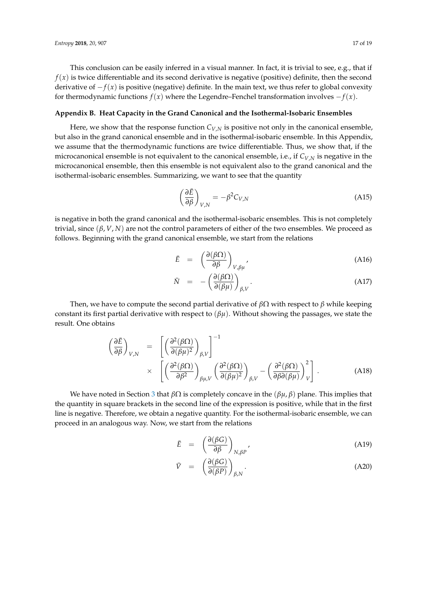This conclusion can be easily inferred in a visual manner. In fact, it is trivial to see, e.g., that if  $f(x)$  is twice differentiable and its second derivative is negative (positive) definite, then the second derivative of −*f*(*x*) is positive (negative) definite. In the main text, we thus refer to global convexity for thermodynamic functions  $f(x)$  where the Legendre–Fenchel transformation involves  $-f(x)$ .

## <span id="page-16-0"></span>**Appendix B. Heat Capacity in the Grand Canonical and the Isothermal-Isobaric Ensembles**

Here, we show that the response function  $C_{V,N}$  is positive not only in the canonical ensemble, but also in the grand canonical ensemble and in the isothermal-isobaric ensemble. In this Appendix, we assume that the thermodynamic functions are twice differentiable. Thus, we show that, if the microcanonical ensemble is not equivalent to the canonical ensemble, i.e., if *CV*,*<sup>N</sup>* is negative in the microcanonical ensemble, then this ensemble is not equivalent also to the grand canonical and the isothermal-isobaric ensembles. Summarizing, we want to see that the quantity

$$
\left(\frac{\partial \bar{E}}{\partial \beta}\right)_{V,N} = -\beta^2 C_{V,N} \tag{A15}
$$

is negative in both the grand canonical and the isothermal-isobaric ensembles. This is not completely trivial, since (*β*, *V*, *N*) are not the control parameters of either of the two ensembles. We proceed as follows. Beginning with the grand canonical ensemble, we start from the relations

$$
\bar{E} = \left(\frac{\partial(\beta\Omega)}{\partial\beta}\right)_{V,\beta\mu'},
$$
\n(A16)

$$
\bar{N} = -\left(\frac{\partial(\beta\Omega)}{\partial(\beta\mu)}\right)_{\beta,V}.
$$
\n(A17)

Then, we have to compute the second partial derivative of *β*Ω with respect to *β* while keeping constant its first partial derivative with respect to (*βµ*). Without showing the passages, we state the result. One obtains

$$
\begin{array}{rcl}\n\left(\frac{\partial \bar{E}}{\partial \beta}\right)_{V,N} & = & \left[ \left(\frac{\partial^2 (\beta \Omega)}{\partial (\beta \mu)^2}\right)_{\beta,V} \right]^{-1} \\
& \times & \left[ \left(\frac{\partial^2 (\beta \Omega)}{\partial \beta^2}\right)_{\beta \mu,V} \left(\frac{\partial^2 (\beta \Omega)}{\partial (\beta \mu)^2}\right)_{\beta,V} - \left(\frac{\partial^2 (\beta \Omega)}{\partial \beta \partial (\beta \mu)}\right)^2_V \right].\n\end{array} \tag{A18}
$$

We have noted in Section [3](#page-3-0) that *β*Ω is completely concave in the (*βµ*, *β*) plane. This implies that the quantity in square brackets in the second line of the expression is positive, while that in the first line is negative. Therefore, we obtain a negative quantity. For the isothermal-isobaric ensemble, we can proceed in an analogous way. Now, we start from the relations

$$
\bar{E} = \left(\frac{\partial(\beta G)}{\partial \beta}\right)_{N,\beta P'},
$$
\n(A19)

$$
\bar{V} = \left(\frac{\partial(\beta G)}{\partial(\beta P)}\right)_{\beta, N}.
$$
\n(A20)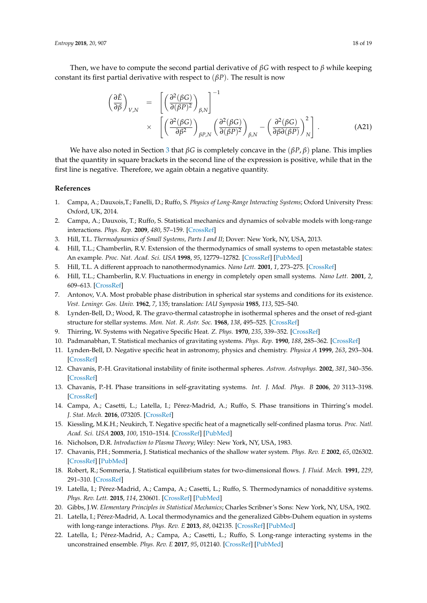Then, we have to compute the second partial derivative of *βG* with respect to *β* while keeping constant its first partial derivative with respect to  $(\beta P)$ . The result is now

$$
\begin{array}{rcl}\n\left(\frac{\partial \bar{E}}{\partial \beta}\right)_{V,N} & = & \left[ \left(\frac{\partial^2 (\beta G)}{\partial (\beta P)^2}\right)_{\beta,N} \right]^{-1} \\
& & \times & \left[ \left(\frac{\partial^2 (\beta G)}{\partial \beta^2}\right)_{\beta P,N} \left(\frac{\partial^2 (\beta G)}{\partial (\beta P)^2}\right)_{\beta,N} - \left(\frac{\partial^2 (\beta G)}{\partial \beta \partial (\beta P)}\right)_{N}^2 \right].\n\end{array} \tag{A21}
$$

We have also noted in Section [3](#page-3-0) that *βG* is completely concave in the (*βP*, *β*) plane. This implies that the quantity in square brackets in the second line of the expression is positive, while that in the first line is negative. Therefore, we again obtain a negative quantity.

## **References**

- <span id="page-17-0"></span>1. Campa, A.; Dauxois,T.; Fanelli, D.; Ruffo, S. *Physics of Long-Range Interacting Systems*; Oxford University Press: Oxford, UK, 2014.
- <span id="page-17-1"></span>2. Campa, A.; Dauxois, T.; Ruffo, S. Statistical mechanics and dynamics of solvable models with long-range interactions. *Phys. Rep.* **2009**, *480*, 57–159. [\[CrossRef\]](http://dx.doi.org/10.1016/j.physrep.2009.07.001)
- <span id="page-17-2"></span>3. Hill, T.L. *Thermodynamics of Small Systems, Parts I and II*; Dover: New York, NY, USA, 2013.
- 4. Hill, T.L.; Chamberlin, R.V. Extension of the thermodynamics of small systems to open metastable states: An example. *Proc. Nat. Acad. Sci. USA* **1998**, *95*, 12779–12782. [\[CrossRef\]](http://dx.doi.org/10.1073/pnas.95.22.12779) [\[PubMed\]](http://www.ncbi.nlm.nih.gov/pubmed/9788990)
- 5. Hill, T.L. A different approach to nanothermodynamics. *Nano Lett.* **2001**, *1*, 273–275. [\[CrossRef\]](http://dx.doi.org/10.1021/nl010027w)
- <span id="page-17-3"></span>6. Hill, T.L.; Chamberlin, R.V. Fluctuations in energy in completely open small systems. *Nano Lett.* **2001**, *2*, 609–613. [\[CrossRef\]](http://dx.doi.org/10.1021/nl020295+)
- <span id="page-17-4"></span>7. Antonov, V.A. Most probable phase distribution in spherical star systems and conditions for its existence. *Vest. Leningr. Gos. Univ.* **1962**, *7*, 135; translation: *IAU Symposia* **1985**, *113*, 525–540.
- 8. Lynden-Bell, D.; Wood, R. The gravo-thermal catastrophe in isothermal spheres and the onset of red-giant structure for stellar systems. *Mon. Not. R. Astr. Soc.* **1968**, *138*, 495–525. [\[CrossRef\]](http://dx.doi.org/10.1093/mnras/138.4.495)
- 9. Thirring, W. Systems with Negative Specific Heat. *Z. Phys.* **1970**, *235*, 339–352. [\[CrossRef\]](http://dx.doi.org/10.1007/BF01403177)
- 10. Padmanabhan, T. Statistical mechanics of gravitating systems. *Phys. Rep.* **1990**, *188*, 285–362. [\[CrossRef\]](http://dx.doi.org/10.1016/0370-1573(90)90051-3)
- 11. Lynden-Bell, D. Negative specific heat in astronomy, physics and chemistry. *Physica A* **1999**, *263*, 293–304. [\[CrossRef\]](http://dx.doi.org/10.1016/S0378-4371(98)00518-4)
- 12. Chavanis, P.-H. Gravitational instability of finite isothermal spheres. *Astron. Astrophys.* **2002**, *381*, 340–356. [\[CrossRef\]](http://dx.doi.org/10.1051/0004-6361:20011438)
- 13. Chavanis, P.-H. Phase transitions in self-gravitating systems. *Int. J. Mod. Phys. B* **2006**, *20* 3113–3198. [\[CrossRef\]](http://dx.doi.org/10.1142/S0217979206035400)
- <span id="page-17-5"></span>14. Campa, A.; Casetti, L.; Latella, I.; Pérez-Madrid, A.; Ruffo, S. Phase transitions in Thirring's model. *J. Stat. Mech.* **2016**, 073205. [\[CrossRef\]](http://dx.doi.org/10.1088/1742-5468/2016/07/073205)
- <span id="page-17-6"></span>15. Kiessling, M.K.H.; Neukirch, T. Negative specific heat of a magnetically self-confined plasma torus. *Proc. Natl. Acad. Sci. USA* **2003**, *100*, 1510–1514. [\[CrossRef\]](http://dx.doi.org/10.1073/pnas.252779099) [\[PubMed\]](http://www.ncbi.nlm.nih.gov/pubmed/12576553)
- <span id="page-17-7"></span>16. Nicholson, D.R. *Introduction to Plasma Theory*; Wiley: New York, NY, USA, 1983.
- <span id="page-17-8"></span>17. Chavanis, P.H.; Sommeria, J. Statistical mechanics of the shallow water system. *Phys. Rev. E* **2002**, *65*, 026302. [\[CrossRef\]](http://dx.doi.org/10.1103/PhysRevE.65.026302) [\[PubMed\]](http://www.ncbi.nlm.nih.gov/pubmed/11863648)
- <span id="page-17-9"></span>18. Robert, R.; Sommeria, J. Statistical equilibrium states for two-dimensional flows. *J. Fluid. Mech.* **1991**, *229*, 291–310. [\[CrossRef\]](http://dx.doi.org/10.1017/S0022112091003038)
- <span id="page-17-10"></span>19. Latella, I.; Pérez-Madrid, A.; Campa, A.; Casetti, L.; Ruffo, S. Thermodynamics of nonadditive systems. *Phys. Rev. Lett.* **2015**, *114*, 230601. [\[CrossRef\]](http://dx.doi.org/10.1103/PhysRevLett.114.230601) [\[PubMed\]](http://www.ncbi.nlm.nih.gov/pubmed/26196786)
- <span id="page-17-11"></span>20. Gibbs, J.W. *Elementary Principles in Statistical Mechanics*; Charles Scribner's Sons: New York, NY, USA, 1902.
- <span id="page-17-12"></span>21. Latella, I.; Pérez-Madrid, A. Local thermodynamics and the generalized Gibbs-Duhem equation in systems with long-range interactions. *Phys. Rev. E* **2013**, *88*, 042135. [\[CrossRef\]](http://dx.doi.org/10.1103/PhysRevE.88.042135) [\[PubMed\]](http://www.ncbi.nlm.nih.gov/pubmed/24229143)
- <span id="page-17-13"></span>22. Latella, I.; Pérez-Madrid, A.; Campa, A.; Casetti, L.; Ruffo, S. Long-range interacting systems in the unconstrained ensemble. *Phys. Rev. E* **2017**, *95*, 012140. [\[CrossRef\]](http://dx.doi.org/10.1103/PhysRevE.95.012140) [\[PubMed\]](http://www.ncbi.nlm.nih.gov/pubmed/28208311)